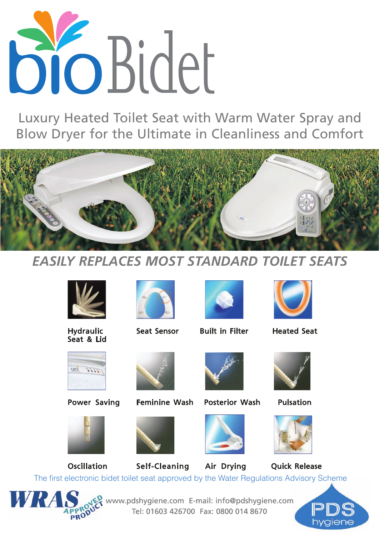

Luxury Heated Toilet Seat with Warm Water Spray and Blow Dryer for the Ultimate in Cleanliness and Comfort



## *EASILY REPLACES MOST STANDARD TOILET SEATS*



Seat & Lid





Hydraulic Seat Sensor Built in Filter Heated Seat









Power Saving Feminine Wash Posterior Wash Pulsation









Oscillation Self-Cleaning Air Drying Quick Release



www.pdshygiene.com E-mail: info@pdshygiene.com Tel: 01603 426700 Fax: 0800 014 8670 The first electronic bidet toilet seat approved by the Water Regulations Advisory Scheme<br>
Tel: 01603 426700 Fax: 0800 014 8670